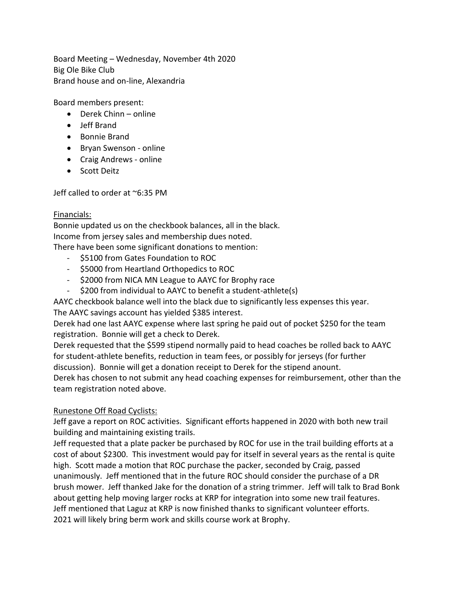Board Meeting – Wednesday, November 4th 2020 Big Ole Bike Club Brand house and on-line, Alexandria

Board members present:

- Derek Chinn online
- Jeff Brand
- Bonnie Brand
- Bryan Swenson online
- Craig Andrews online
- Scott Deitz

Jeff called to order at ~6:35 PM

### Financials:

Bonnie updated us on the checkbook balances, all in the black. Income from jersey sales and membership dues noted. There have been some significant donations to mention:

- \$5100 from Gates Foundation to ROC
- \$5000 from Heartland Orthopedics to ROC
- \$2000 from NICA MN League to AAYC for Brophy race
- \$200 from individual to AAYC to benefit a student-athlete(s)

AAYC checkbook balance well into the black due to significantly less expenses this year. The AAYC savings account has yielded \$385 interest.

Derek had one last AAYC expense where last spring he paid out of pocket \$250 for the team registration. Bonnie will get a check to Derek.

Derek requested that the \$599 stipend normally paid to head coaches be rolled back to AAYC for student-athlete benefits, reduction in team fees, or possibly for jerseys (for further discussion). Bonnie will get a donation receipt to Derek for the stipend anount.

Derek has chosen to not submit any head coaching expenses for reimbursement, other than the team registration noted above.

# Runestone Off Road Cyclists:

Jeff gave a report on ROC activities. Significant efforts happened in 2020 with both new trail building and maintaining existing trails.

Jeff requested that a plate packer be purchased by ROC for use in the trail building efforts at a cost of about \$2300. This investment would pay for itself in several years as the rental is quite high. Scott made a motion that ROC purchase the packer, seconded by Craig, passed unanimously. Jeff mentioned that in the future ROC should consider the purchase of a DR brush mower. Jeff thanked Jake for the donation of a string trimmer. Jeff will talk to Brad Bonk about getting help moving larger rocks at KRP for integration into some new trail features. Jeff mentioned that Laguz at KRP is now finished thanks to significant volunteer efforts. 2021 will likely bring berm work and skills course work at Brophy.